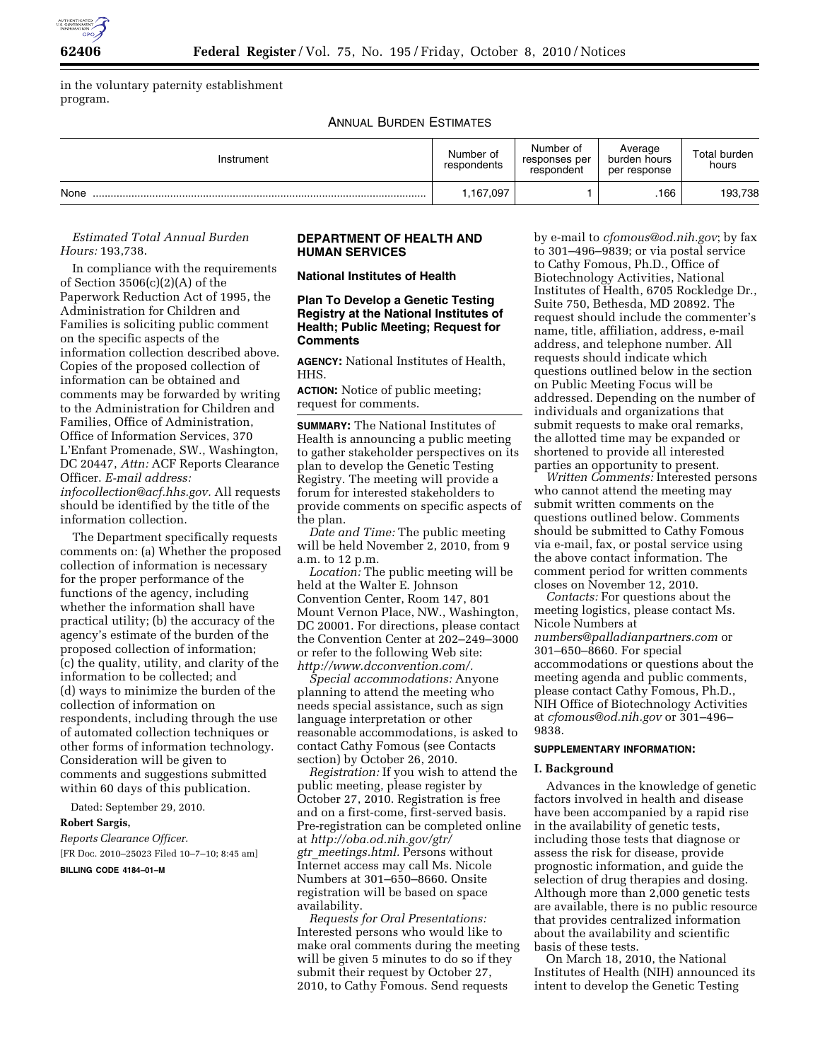

in the voluntary paternity establishment program.

ANNUAL BURDEN ESTIMATES

| Instrument | Number of<br>respondents | Number of<br>responses per<br>respondent | Average<br>burden hours<br>per response | Total burden<br>hours |
|------------|--------------------------|------------------------------------------|-----------------------------------------|-----------------------|
| None       | 1,167,097                |                                          | .166                                    | 193,738               |

## *Estimated Total Annual Burden Hours:* 193,738.

In compliance with the requirements of Section 3506(c)(2)(A) of the Paperwork Reduction Act of 1995, the Administration for Children and Families is soliciting public comment on the specific aspects of the information collection described above. Copies of the proposed collection of information can be obtained and comments may be forwarded by writing to the Administration for Children and Families, Office of Administration, Office of Information Services, 370 L'Enfant Promenade, SW., Washington, DC 20447, *Attn:* ACF Reports Clearance Officer. *E-mail address: [infocollection@acf.hhs.gov.](mailto:infocollection@acf.hhs.gov)* All requests should be identified by the title of the information collection.

The Department specifically requests comments on: (a) Whether the proposed collection of information is necessary for the proper performance of the functions of the agency, including whether the information shall have practical utility; (b) the accuracy of the agency's estimate of the burden of the proposed collection of information; (c) the quality, utility, and clarity of the information to be collected; and (d) ways to minimize the burden of the collection of information on respondents, including through the use of automated collection techniques or other forms of information technology. Consideration will be given to comments and suggestions submitted within 60 days of this publication.

Dated: September 29, 2010.

### **Robert Sargis,**

*Reports Clearance Officer.*  [FR Doc. 2010–25023 Filed 10–7–10; 8:45 am]

**BILLING CODE 4184–01–M** 

## **DEPARTMENT OF HEALTH AND HUMAN SERVICES**

**National Institutes of Health** 

## **Plan To Develop a Genetic Testing Registry at the National Institutes of Health; Public Meeting; Request for Comments**

**AGENCY:** National Institutes of Health, HHS.

**ACTION:** Notice of public meeting; request for comments.

**SUMMARY:** The National Institutes of Health is announcing a public meeting to gather stakeholder perspectives on its plan to develop the Genetic Testing Registry. The meeting will provide a forum for interested stakeholders to provide comments on specific aspects of the plan.

*Date and Time:* The public meeting will be held November 2, 2010, from 9 a.m. to 12 p.m.

*Location:* The public meeting will be held at the Walter E. Johnson Convention Center, Room 147, 801 Mount Vernon Place, NW., Washington, DC 20001. For directions, please contact the Convention Center at 202–249–3000 or refer to the following Web site: *[http://www.dcconvention.com/.](http://www.dcconvention.com/)* 

*Special accommodations:* Anyone planning to attend the meeting who needs special assistance, such as sign language interpretation or other reasonable accommodations, is asked to contact Cathy Fomous (see Contacts section) by October 26, 2010.

*Registration:* If you wish to attend the public meeting, please register by October 27, 2010. Registration is free and on a first-come, first-served basis. Pre-registration can be completed online at *[http://oba.od.nih.gov/gtr/](http://oba.od.nih.gov/gtr/gtr_meetings.html) gtr*\_*[meetings.html.](http://oba.od.nih.gov/gtr/gtr_meetings.html)* Persons without Internet access may call Ms. Nicole Numbers at 301–650–8660. Onsite registration will be based on space availability.

*Requests for Oral Presentations:*  Interested persons who would like to make oral comments during the meeting will be given 5 minutes to do so if they submit their request by October 27, 2010, to Cathy Fomous. Send requests

by e-mail to *[cfomous@od.nih.gov](mailto:cfomous@od.nih.gov)*; by fax to 301–496–9839; or via postal service to Cathy Fomous, Ph.D., Office of Biotechnology Activities, National Institutes of Health, 6705 Rockledge Dr., Suite 750, Bethesda, MD 20892. The request should include the commenter's name, title, affiliation, address, e-mail address, and telephone number. All requests should indicate which questions outlined below in the section on Public Meeting Focus will be addressed. Depending on the number of individuals and organizations that submit requests to make oral remarks, the allotted time may be expanded or shortened to provide all interested parties an opportunity to present.

*Written Comments:* Interested persons who cannot attend the meeting may submit written comments on the questions outlined below. Comments should be submitted to Cathy Fomous via e-mail, fax, or postal service using the above contact information. The comment period for written comments closes on November 12, 2010.

*Contacts:* For questions about the meeting logistics, please contact Ms. Nicole Numbers at *[numbers@palladianpartners.com](mailto:numbers@palladianpartners.com)* or 301–650–8660. For special accommodations or questions about the meeting agenda and public comments, please contact Cathy Fomous, Ph.D., NIH Office of Biotechnology Activities at *[cfomous@od.nih.gov](mailto:cfomous@od.nih.gov)* or 301–496– 9838.

#### **SUPPLEMENTARY INFORMATION:**

#### **I. Background**

Advances in the knowledge of genetic factors involved in health and disease have been accompanied by a rapid rise in the availability of genetic tests, including those tests that diagnose or assess the risk for disease, provide prognostic information, and guide the selection of drug therapies and dosing. Although more than 2,000 genetic tests are available, there is no public resource that provides centralized information about the availability and scientific basis of these tests.

On March 18, 2010, the National Institutes of Health (NIH) announced its intent to develop the Genetic Testing